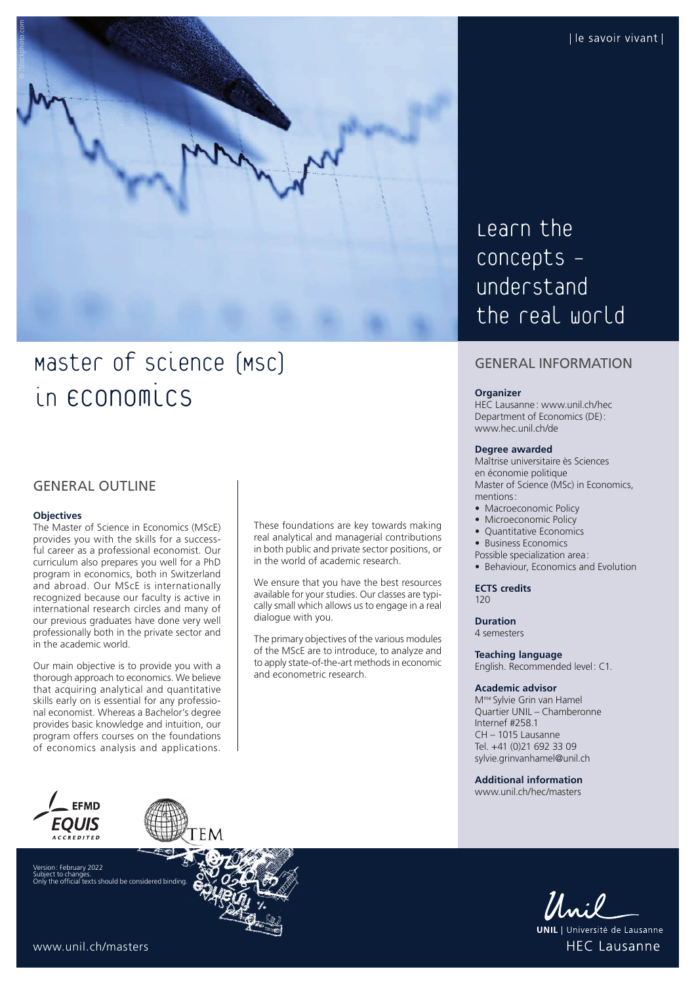

# Master of science (MSC) in  $\epsilon$ conomics

## GENERAL OUTLINE

#### **Objectives**

The Master of Science in Economics (MScE) provides you with the skills for a successful career as a professional economist. Our curriculum also prepares you well for a PhD program in economics, both in Switzerland and abroad. Our MScE is internationally recognized because our faculty is active in international research circles and many of our previous graduates have done very well professionally both in the private sector and in the academic world.

Our main objective is to provide you with a thorough approach to economics. We believe that acquiring analytical and quantitative skills early on is essential for any professional economist. Whereas a Bachelor's degree provides basic knowledge and intuition, our program offers courses on the foundations of economics analysis and applications.

These foundations are key towards making real analytical and managerial contributions in both public and private sector positions, or in the world of academic research.

We ensure that you have the best resources available for your studies. Our classes are typically small which allows us to engage in a real dialogue with you.

The primary objectives of the various modules of the MScE are to introduce, to analyze and to apply state-of-the-art methods in economic and econometric research.

Learn the concepts understand the real world

## GENERAL INFORMATION

#### **Organizer**

HEC Lausanne : [www.unil.ch/hec](http://www.unil.ch/hec) Department of Economics (DE): [www.hec.unil.ch/de](http://www.hec.unil.ch/de)

#### **Degree awarded**

Maîtrise universitaire ès Sciences en économie politique Master of Science (MSc) in Economics, mentions:

- Macroeconomic Policy
- Microeconomic Policy
- Quantitative Economics
- Business Economics
- Possible specialization area:
- Behaviour, Economics and Evolution

**ECTS credits** 120

**Duration**

4 semesters

**Teaching language** English. Recommended level: C1.

#### **Academic advisor**

Mme Sylvie Grin van Hamel Quartier UNIL – Chamberonne Internef #258.1 CH – 1015 Lausanne Tel. +41 (0)21 692 33 09 [sylvie.grinvanhamel@unil.ch](mailto:sylvie.grinvanhamel@unil.ch)

**Additional information** 

[www.unil.ch/hec/masters](http://www.unil.ch/hec/masters)

**EFMD** *EOUIS* **ACCREDITED** 

vion: February 2022 Subject to changes. Only the official texts should be considered binding.